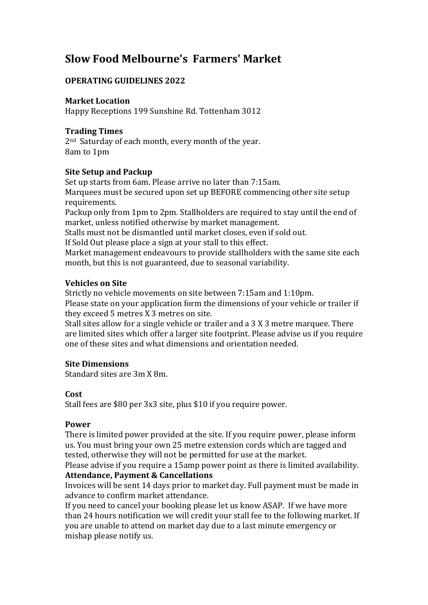# **Slow Food Melbourne's Farmers' Market**

## **OPERATING GUIDELINES 2022**

### **Market Location**

Happy Receptions 199 Sunshine Rd. Tottenham 3012

### **Trading Times**

2<sup>nd</sup> Saturday of each month, every month of the year. 8am to 1pm

## **Site Setup and Packup**

Set up starts from 6am. Please arrive no later than 7:15am. Marquees must be secured upon set up BEFORE commencing other site setup requirements.

Packup only from 1pm to 2pm. Stallholders are required to stay until the end of market, unless notified otherwise by market management.

Stalls must not be dismantled until market closes, even if sold out.

If Sold Out please place a sign at your stall to this effect.

Market management endeavours to provide stallholders with the same site each month, but this is not guaranteed, due to seasonal variability.

#### **Vehicles** on Site

Strictly no vehicle movements on site between 7:15am and 1:10pm.

Please state on your application form the dimensions of your vehicle or trailer if they exceed 5 metres X 3 metres on site.

Stall sites allow for a single vehicle or trailer and a 3 X 3 metre marquee. There are limited sites which offer a larger site footprint. Please advise us if you require one of these sites and what dimensions and orientation needed.

## **Site Dimensions**

Standard sites are 3m X 8m.

#### **Cost**

Stall fees are \$80 per 3x3 site, plus \$10 if you require power.

#### **Power**

There is limited power provided at the site. If you require power, please inform us. You must bring your own 25 metre extension cords which are tagged and tested, otherwise they will not be permitted for use at the market.

Please advise if you require a 15amp power point as there is limited availability. **Attendance, Payment & Cancellations** 

Invoices will be sent 14 days prior to market day. Full payment must be made in advance to confirm market attendance.

If you need to cancel your booking please let us know ASAP. If we have more than 24 hours notification we will credit your stall fee to the following market. If you are unable to attend on market day due to a last minute emergency or mishap please notify us.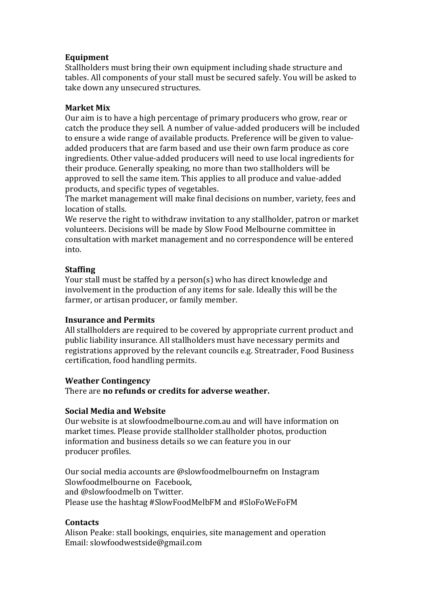### **Equipment**

Stallholders must bring their own equipment including shade structure and tables. All components of your stall must be secured safely. You will be asked to take down any unsecured structures.

#### **Market Mix**

Our aim is to have a high percentage of primary producers who grow, rear or catch the produce they sell. A number of value-added producers will be included to ensure a wide range of available products. Preference will be given to valueadded producers that are farm based and use their own farm produce as core ingredients. Other value-added producers will need to use local ingredients for their produce. Generally speaking, no more than two stallholders will be approved to sell the same item. This applies to all produce and value-added products, and specific types of vegetables.

The market management will make final decisions on number, variety, fees and location of stalls.

We reserve the right to withdraw invitation to any stallholder, patron or market volunteers. Decisions will be made by Slow Food Melbourne committee in consultation with market management and no correspondence will be entered into. 

#### **Staffing**

Your stall must be staffed by a person(s) who has direct knowledge and involvement in the production of any items for sale. Ideally this will be the farmer, or artisan producer, or family member.

#### **Insurance and Permits**

All stallholders are required to be covered by appropriate current product and public liability insurance. All stallholders must have necessary permits and registrations approved by the relevant councils e.g. Streatrader, Food Business certification, food handling permits.

#### **Weather Contingency**

There are **no refunds or credits for adverse weather.** 

#### **Social Media and Website**

Our website is at slowfoodmelbourne.com.au and will have information on market times. Please provide stallholder stallholder photos, production information and business details so we can feature you in our producer profiles.

Our social media accounts are @slowfoodmelbournefm on Instagram Slowfoodmelbourne on Facebook. and @slowfoodmelb on Twitter. Please use the hashtag #SlowFoodMelbFM and #SloFoWeFoFM

#### **Contacts**

Alison Peake: stall bookings, enquiries, site management and operation Email: slowfoodwestside@gmail.com